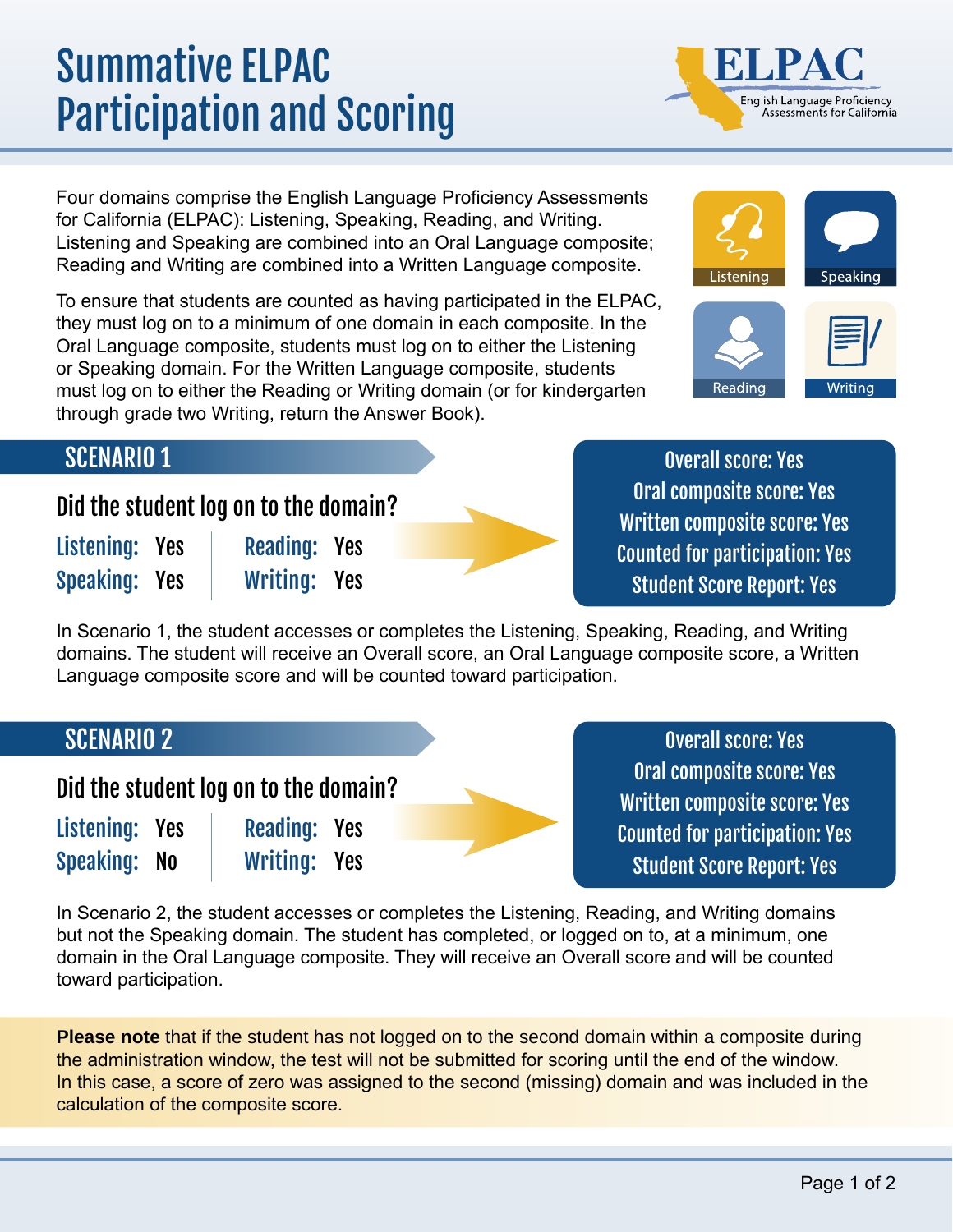# Summative ELPAC Participation and Scoring

Four domains comprise the English Language Proficiency Assessments for California (ELPAC): Listening, Speaking, Reading, and Writing. Listening and Speaking are combined into an Oral Language composite; Reading and Writing are combined into a Written Language composite.

To ensure that students are counted as having participated in the ELPAC, they must log on to a minimum of one domain in each composite. In the Oral Language composite, students must log on to either the Listening or Speaking domain. For the Written Language composite, students must log on to either the Reading or Writing domain (or for kindergarten through grade two Writing, return the Answer Book).

Yes

Yes



English Language Proficiency<br>Assessments for California

## SCENARIO 1

Did the student log on to the domain?

Listening: Yes Speaking: Yes Reading: Yes Writing: Yes

Overall score: Yes Oral composite score: Yes Written composite score: Yes Counted for participation: Yes Student Score Report: Yes

In Scenario 1, the student accesses or completes the Listening, Speaking, Reading, and Writing domains. The student will receive an Overall score, an Oral Language composite score, a Written Language composite score and will be counted toward participation.

### SCENARIO 2

Did the student log on to the domain?

| Listening: Yes | <b>Reading:</b> |
|----------------|-----------------|
| Speaking: No   | <b>Writing:</b> |

Overall score: Yes Oral composite score: Yes Written composite score: Yes Counted for participation: Yes Student Score Report: Yes

In Scenario 2, the student accesses or completes the Listening, Reading, and Writing domains but not the Speaking domain. The student has completed, or logged on to, at a minimum, one domain in the Oral Language composite. They will receive an Overall score and will be counted toward participation.

**Please note** that if the student has not logged on to the second domain within a composite during the administration window, the test will not be submitted for scoring until the end of the window. In this case, a score of zero was assigned to the second (missing) domain and was included in the calculation of the composite score.